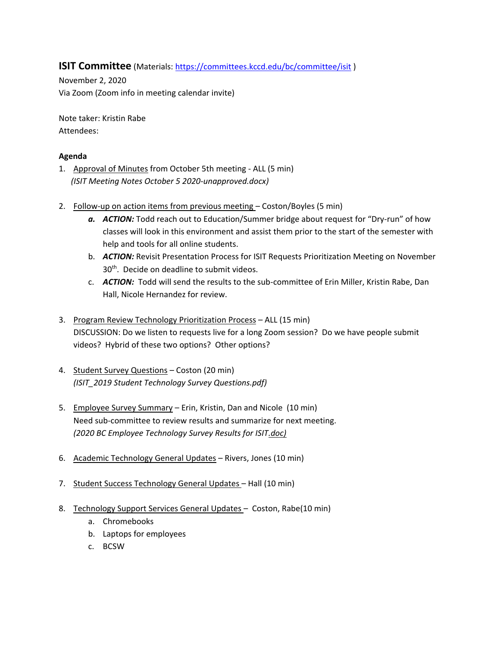## **ISIT Committee** (Materials[: https://committees.kccd.edu/bc/committee/isit](https://committees.kccd.edu/bc/committee/isit))

November 2, 2020 Via Zoom (Zoom info in meeting calendar invite)

Note taker: Kristin Rabe Attendees:

## **Agenda**

- 1. Approval of Minutes from October 5th meeting ALL (5 min)  *(ISIT Meeting Notes October 5 2020-unapproved.docx)*
- 2. Follow-up on action items from previous meeting Coston/Boyles (5 min)
	- *a. ACTION:* Todd reach out to Education/Summer bridge about request for "Dry-run" of how classes will look in this environment and assist them prior to the start of the semester with help and tools for all online students.
	- b. *ACTION:* Revisit Presentation Process for ISIT Requests Prioritization Meeting on November 30<sup>th</sup>. Decide on deadline to submit videos.
	- c. *ACTION:* Todd will send the results to the sub-committee of Erin Miller, Kristin Rabe, Dan Hall, Nicole Hernandez for review.
- 3. Program Review Technology Prioritization Process ALL (15 min) DISCUSSION: Do we listen to requests live for a long Zoom session? Do we have people submit videos? Hybrid of these two options? Other options?
- 4. Student Survey Questions Coston (20 min) *(ISIT\_2019 Student Technology Survey Questions.pdf)*
- 5. Employee Survey Summary Erin, Kristin, Dan and Nicole (10 min) Need sub-committee to review results and summarize for next meeting. *(2020 BC Employee Technology Survey Results for ISIT.doc)*
- 6. Academic Technology General Updates Rivers, Jones (10 min)
- 7. Student Success Technology General Updates Hall (10 min)
- 8. Technology Support Services General Updates Coston, Rabe(10 min)
	- a. Chromebooks
	- b. Laptops for employees
	- c. BCSW